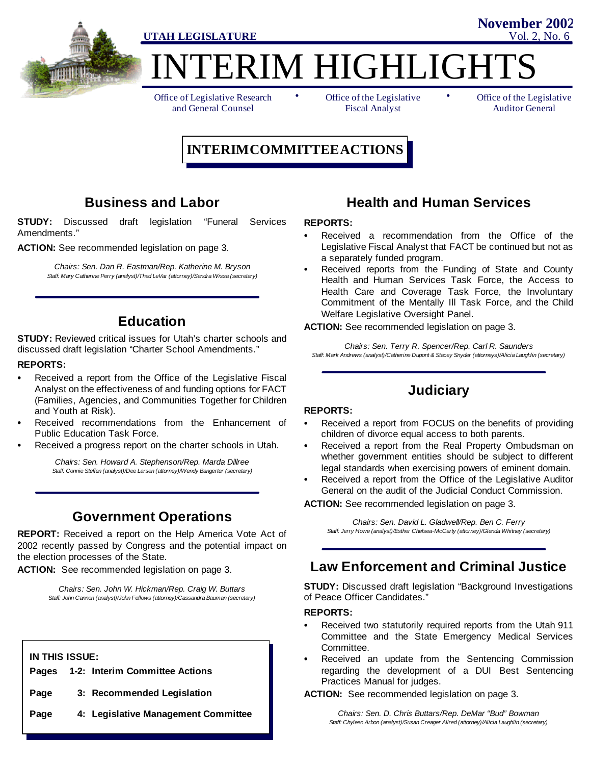

ERIM HIGHLIGHT

Office of Legislative Research and General Counsel

• Office of the Legislative • Fiscal Analyst

Office of the Legislative Auditor General

**November 2002**

# **INTERIMCOMMITTEEACTIONS**

## **Business and Labor**

**STUDY:** Discussed draft legislation "Funeral Services Amendments."

**ACTION:** See recommended legislation on page 3.

*Chairs: Sen. Dan R. Eastman/Rep. Katherine M. Bryson Staff: Mary Catherine Perry (analyst)/Thad LeVar (attorney)/Sandra Wissa (secretary)*

## **Education**

**STUDY:** Reviewed critical issues for Utah's charter schools and discussed draft legislation "Charter School Amendments."

#### **REPORTS:**

- Received a report from the Office of the Legislative Fiscal Analyst on the effectiveness of and funding options for FACT (Families, Agencies, and Communities Together for Children and Youth at Risk).
- Received recommendations from the Enhancement of Public Education Task Force.
- Received a progress report on the charter schools in Utah.

*Chairs: Sen. Howard A. Stephenson/Rep. Marda Dillree Staff: Connie Steffen (analyst)/Dee Larsen (attorney)/Wendy Bangerter (secretary)*

# **Government Operations**

**REPORT:** Received a report on the Help America Vote Act of 2002 recently passed by Congress and the potential impact on the election processes of the State.

**ACTION:** See recommended legislation on page 3.

*Chairs: Sen. John W. Hickman/Rep. Craig W. Buttars Staff: John Cannon (analyst)/John Fellows (attorney)/Cassandra Bauman (secretary)*

#### **IN THIS ISSUE:**

|  | Pages 1-2: Interim Committee Actions |
|--|--------------------------------------|
|--|--------------------------------------|

- **Page 3: Recommended Legislation**
- **Page 4: Legislative Management Committee**

### **Health and Human Services**

#### **REPORTS:**

- Received a recommendation from the Office of the Legislative Fiscal Analyst that FACT be continued but not as a separately funded program.
- Received reports from the Funding of State and County Health and Human Services Task Force, the Access to Health Care and Coverage Task Force, the Involuntary Commitment of the Mentally Ill Task Force, and the Child Welfare Legislative Oversight Panel.

**ACTION:** See recommended legislation on page 3.

*Chairs: Sen. Terry R. Spencer/Rep. Carl R. Saunders Staff: Mark Andrews (analyst)/Catherine Dupont & Stacey Snyder (attorneys)/Alicia Laughlin (secretary)*

# **Judiciary**

#### **REPORTS:**

- Received a report from FOCUS on the benefits of providing children of divorce equal access to both parents.
- Received a report from the Real Property Ombudsman on whether government entities should be subject to different legal standards when exercising powers of eminent domain.
- Received a report from the Office of the Legislative Auditor General on the audit of the Judicial Conduct Commission.

**ACTION:** See recommended legislation on page 3.

*Chairs: Sen. David L. Gladwell/Rep. Ben C. Ferry Staff: Jerry Howe (analyst)/Esther Chelsea-McCarty (attorney)/Glenda Whitney (secretary)*

# **Law Enforcement and Criminal Justice**

**STUDY:** Discussed draft legislation "Background Investigations of Peace Officer Candidates."

#### **REPORTS:**

- Received two statutorily required reports from the Utah 911 Committee and the State Emergency Medical Services Committee.
- Received an update from the Sentencing Commission regarding the development of a DUI Best Sentencing Practices Manual for judges.

**ACTION:** See recommended legislation on page 3.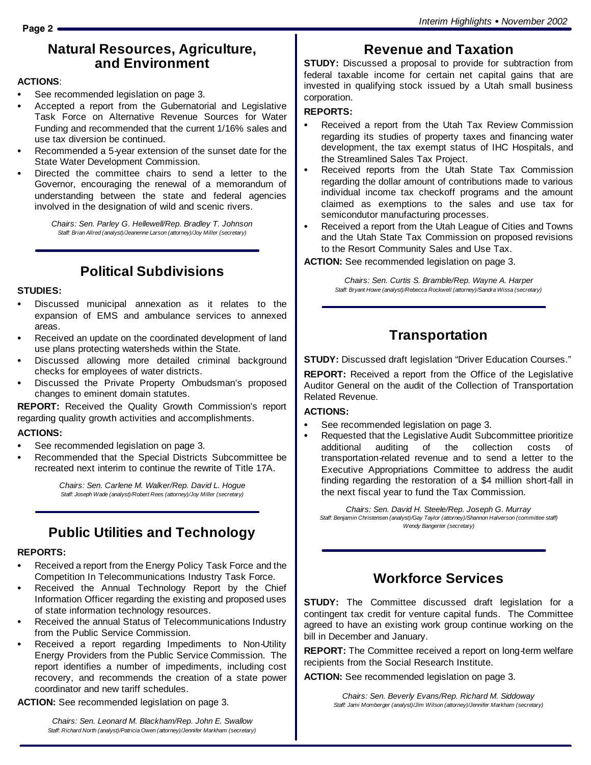## **Natural Resources, Agriculture, and Environment**

#### **ACTIONS**:

- See recommended legislation on page 3.
- Accepted a report from the Gubernatorial and Legislative Task Force on Alternative Revenue Sources for Water Funding and recommended that the current 1/16% sales and use tax diversion be continued.
- Recommended a 5-year extension of the sunset date for the State Water Development Commission.
- Directed the committee chairs to send a letter to the Governor, encouraging the renewal of a memorandum of understanding between the state and federal agencies involved in the designation of wild and scenic rivers.

*Chairs: Sen. Parley G. Hellewell/Rep. Bradley T. Johnson Staff: Brian Allred (analyst)/Jeanenne Larson (attorney)/Joy Miller (secretary)*

# **Political Subdivisions**

#### **STUDIES:**

- Discussed municipal annexation as it relates to the expansion of EMS and ambulance services to annexed areas.
- Received an update on the coordinated development of land use plans protecting watersheds within the State.
- Discussed allowing more detailed criminal background checks for employees of water districts.
- Discussed the Private Property Ombudsman's proposed changes to eminent domain statutes.

**REPORT:** Received the Quality Growth Commission's report regarding quality growth activities and accomplishments.

### **ACTIONS:**

- See recommended legislation on page 3.
- Recommended that the Special Districts Subcommittee be recreated next interim to continue the rewrite of Title 17A.

*Chairs: Sen. Carlene M. Walker/Rep. David L. Hogue Staff: Joseph Wade (analyst)/Robert Rees (attorney)/Joy Miller (secretary)*

# **Public Utilities and Technology**

### **REPORTS:**

- Received a report from the Energy Policy Task Force and the Competition In Telecommunications Industry Task Force.
- Received the Annual Technology Report by the Chief Information Officer regarding the existing and proposed uses of state information technology resources.
- Received the annual Status of Telecommunications Industry from the Public Service Commission.
- Received a report regarding Impediments to Non-Utility Energy Providers from the Public Service Commission. The report identifies a number of impediments, including cost recovery, and recommends the creation of a state power coordinator and new tariff schedules.

**ACTION:** See recommended legislation on page 3.

*Chairs: Sen. Leonard M. Blackham/Rep. John E. Swallow Staff: Richard North (analyst)/Patricia Owen (attorney)/Jennifer Markham (secretary)*

# **Revenue and Taxation**

**STUDY:** Discussed a proposal to provide for subtraction from federal taxable income for certain net capital gains that are invested in qualifying stock issued by a Utah small business corporation.

### **REPORTS:**

- Received a report from the Utah Tax Review Commission regarding its studies of property taxes and financing water development, the tax exempt status of IHC Hospitals, and the Streamlined Sales Tax Project.
- Received reports from the Utah State Tax Commission regarding the dollar amount of contributions made to various individual income tax checkoff programs and the amount claimed as exemptions to the sales and use tax for semicondutor manufacturing processes.
- Received a report from the Utah League of Cities and Towns and the Utah State Tax Commission on proposed revisions to the Resort Community Sales and Use Tax.

**ACTION:** See recommended legislation on page 3.

*Chairs: Sen. Curtis S. Bramble/Rep. Wayne A. Harper Staff: Bryant Howe (analyst)/Rebecca Rockwell (attorney)/Sandra Wissa (secretary)*

# **Transportation**

**STUDY:** Discussed draft legislation "Driver Education Courses."

**REPORT:** Received a report from the Office of the Legislative Auditor General on the audit of the Collection of Transportation Related Revenue.

### **ACTIONS:**

- See recommended legislation on page 3.
- Requested that the Legislative Audit Subcommittee prioritize additional auditing of the collection costs of transportation-related revenue and to send a letter to the Executive Appropriations Committee to address the audit finding regarding the restoration of a \$4 million short-fall in the next fiscal year to fund the Tax Commission.

*Chairs: Sen. David H. Steele/Rep. Joseph G. Murray Staff: Benjamin Christensen (analyst)/Gay Taylor (attorney)/Shannon Halverson (committee staff) Wendy Bangerter (secretary)*

# **Workforce Services**

**STUDY:** The Committee discussed draft legislation for a contingent tax credit for venture capital funds. The Committee agreed to have an existing work group continue working on the bill in December and January.

**REPORT:** The Committee received a report on long-term welfare recipients from the Social Research Institute.

**ACTION:** See recommended legislation on page 3.

*Chairs: Sen. Beverly Evans/Rep. Richard M. Siddoway Staff: Jami Momberger (analyst)/Jim Wilson (attorney)/Jennifer Markham (secretary)*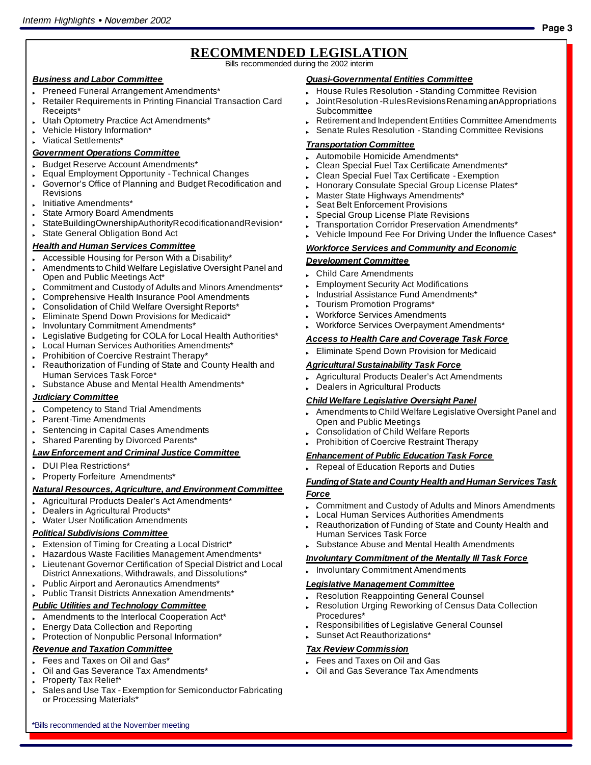# **RECOMMENDED LEGISLATION**

Bills recommended during the 2002 interim

#### *Business and Labor Committee*

- Preneed Funeral Arrangement Amendments\*
- Retailer Requirements in Printing Financial Transaction Card Receipts\*
- Utah Optometry Practice Act Amendments\*
- Vehicle History Information\*
- Viatical Settlements\*

### *Government Operations Committee*

- Budget Reserve Account Amendments\*
- Equal Employment Opportunity Technical Changes
- Governor's Office of Planning and Budget Recodification and Revisions
- Initiative Amendments\*
- State Armory Board Amendments
- StateBuildingOwnershipAuthorityRecodificationandRevision\*
- State General Obligation Bond Act

### *Health and Human Services Committee*

- Accessible Housing for Person With a Disability\*
- Amendments to Child Welfare Legislative Oversight Panel and Open and Public Meetings Act\*
- Commitment and Custody of Adults and Minors Amendments\*
- Comprehensive Health Insurance Pool Amendments
- . Consolidation of Child Welfare Oversight Reports\*
- Eliminate Spend Down Provisions for Medicaid\*
- Involuntary Commitment Amendments\*
- Legislative Budgeting for COLA for Local Health Authorities\*
- Local Human Services Authorities Amendments\*
- Prohibition of Coercive Restraint Therapy\*
- Reauthorization of Funding of State and County Health and Human Services Task Force\*
- Substance Abuse and Mental Health Amendments\*

#### *Judiciary Committee*

- Competency to Stand Trial Amendments
- Parent-Time Amendments
- Sentencing in Capital Cases Amendments
- **Shared Parenting by Divorced Parents\***

#### *Law Enforcement and Criminal Justice Committee*

- " DUI Plea Restrictions\*
- Property Forfeiture Amendments\*

#### *Natural Resources, Agriculture, and Environment Committee*

- Agricultural Products Dealer's Act Amendments\*
- Dealers in Agricultural Products\*
- **Water User Notification Amendments**

#### *Political Subdivisions Committee*

- Extension of Timing for Creating a Local District\*
- Hazardous Waste Facilities Management Amendments\*
- Lieutenant Governor Certification of Special District and Local District Annexations, Withdrawals, and Dissolutions\*
- Public Airport and Aeronautics Amendments\*
- Public Transit Districts Annexation Amendments\*

#### *Public Utilities and Technology Committee*

- Amendments to the Interlocal Cooperation Act\*
- **Energy Data Collection and Reporting**
- Protection of Nonpublic Personal Information\*

### *Revenue and Taxation Committee*

- Fees and Taxes on Oil and Gas\*
- Oil and Gas Severance Tax Amendments\*

\*Bills recommended at the November meeting

- Property Tax Relief\*
- Sales and Use Tax Exemption for Semiconductor Fabricating or Processing Materials\*

### *Quasi-Governmental Entities Committee*

- House Rules Resolution Standing Committee Revision
- " JointResolution -RulesRevisionsRenaminganAppropriations **Subcommittee**

**Page 3**

- Retirement and Independent Entities Committee Amendments
- Senate Rules Resolution Standing Committee Revisions

#### *Transportation Committee*

- Automobile Homicide Amendments\*
- Clean Special Fuel Tax Certificate Amendments\*
- " Clean Special Fuel Tax Certificate Exemption
- Honorary Consulate Special Group License Plates\*
- Master State Highways Amendments\*
- Seat Belt Enforcement Provisions
- Special Group License Plate Revisions
- Transportation Corridor Preservation Amendments\*
- Vehicle Impound Fee For Driving Under the Influence Cases\*

#### *Workforce Services and Community and Economic*

#### *Development Committee*

- **Child Care Amendments**
- **Employment Security Act Modifications**
- Industrial Assistance Fund Amendments\*
- Tourism Promotion Programs\*
- Workforce Services Amendments
- Workforce Services Overpayment Amendments\*

#### *Access to Health Care and Coverage Task Force*

Eliminate Spend Down Provision for Medicaid

#### *Agricultural Sustainability Task Force*

- Agricultural Products Dealer's Act Amendments
- Dealers in Agricultural Products

#### *Child Welfare Legislative Oversight Panel*

- Amendments to Child Welfare Legislative Oversight Panel and Open and Public Meetings
- Consolidation of Child Welfare Reports
- Prohibition of Coercive Restraint Therapy

#### *Enhancement of Public Education Task Force*

Repeal of Education Reports and Duties

#### *Fundingof State andCounty Health andHuman Services Task Force*

- Commitment and Custody of Adults and Minors Amendments
- Local Human Services Authorities Amendments
- Reauthorization of Funding of State and County Health and Human Services Task Force
- Substance Abuse and Mental Health Amendments

Responsibilities of Legislative General Counsel

#### *Involuntary Commitment of the Mentally Ill Task Force*

Involuntary Commitment Amendments

#### *Legislative Management Committee*

Sunset Act Reauthorizations\*

Fees and Taxes on Oil and Gas

*Tax Review Commission*

Procedures\*

**Resolution Reappointing General Counsel** Resolution Urging Reworking of Census Data Collection

**Oil and Gas Severance Tax Amendments**